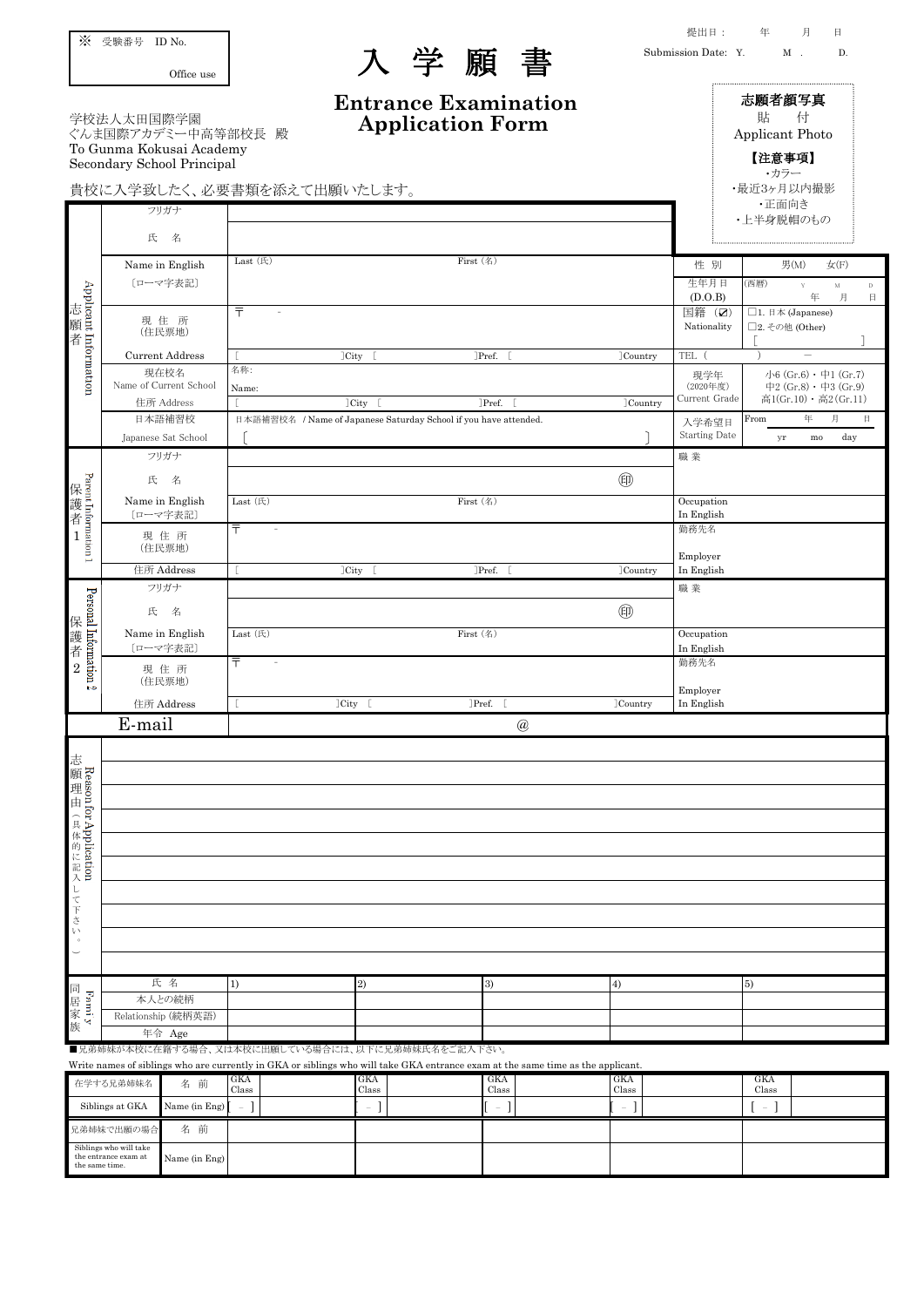名 前

Siblings who will take<br>the entrance exam at <br>the same time. Name (in Eng)

兄弟姉妹で出願の場合



|                                                                                                                                                      |                                      | Office use                  |                                    |                            | $\overline{ }$                                                   | ルメント<br>ᄅ                                                                                                                       |                           |                           |                                                                                 |
|------------------------------------------------------------------------------------------------------------------------------------------------------|--------------------------------------|-----------------------------|------------------------------------|----------------------------|------------------------------------------------------------------|---------------------------------------------------------------------------------------------------------------------------------|---------------------------|---------------------------|---------------------------------------------------------------------------------|
| <b>Entrance Examination</b><br>学校法人太田国際学園<br><b>Application Form</b><br>ぐんま国際アカデミー中高等部校長 殿<br>To Gunma Kokusai Academy<br>Secondary School Principal |                                      |                             |                                    |                            |                                                                  |                                                                                                                                 |                           |                           | 志願者顔写真<br>貼<br>付<br>Applicant Photo<br>【注意事項】<br>・カラー                           |
|                                                                                                                                                      |                                      |                             |                                    | 貴校に入学致したく、必要書類を添えて出願いたします。 |                                                                  |                                                                                                                                 |                           |                           | ・最近3ヶ月以内撮影                                                                      |
|                                                                                                                                                      |                                      | フリガナ                        |                                    |                            |                                                                  |                                                                                                                                 |                           |                           | ・正面向き<br>・上半身脱帽のもの                                                              |
| Applicant Information                                                                                                                                | 氏                                    | 名                           |                                    |                            |                                                                  |                                                                                                                                 |                           |                           |                                                                                 |
|                                                                                                                                                      |                                      | Name in English             | Last $(E)$                         |                            |                                                                  | First (名)                                                                                                                       |                           | 性 別                       | 男 $(M)$<br>女(F)                                                                 |
|                                                                                                                                                      |                                      | [ローマ字表記]                    |                                    |                            |                                                                  |                                                                                                                                 |                           | 生年月日<br>(D.O.B)           | (西暦)<br>$\mathbf Y$<br>$_{\rm M}$<br>$\mathbb D$<br>年<br>月<br>日                 |
|                                                                                                                                                      |                                      | 現 住 所<br>(住民票地)             | 구                                  |                            |                                                                  |                                                                                                                                 |                           | 国籍 (☑)<br>Nationality     | $\Box$ 1. 日本 (Japanese)<br>□2. その他 (Other)                                      |
|                                                                                                                                                      |                                      | Current Address             |                                    | <b>City</b>                |                                                                  | ]Pref.                                                                                                                          | Country                   | TEL                       |                                                                                 |
|                                                                                                                                                      |                                      | 現在校名                        | 名称:                                |                            |                                                                  |                                                                                                                                 |                           | 現学年                       | 小6 (Gr.6) · 中1 (Gr.7)                                                           |
|                                                                                                                                                      | Name of Current School<br>住所 Address |                             | Name:                              |                            | City                                                             | ] Pref.                                                                                                                         | <b>Country</b>            | (2020年度)<br>Current Grade | 中2 $(Gr.8) \cdot \text{F}3$ $(Gr.9)$<br>高 $1(Gr.10) \cdot \overline{m}2(Gr.11)$ |
|                                                                                                                                                      |                                      | 日本語補習校                      |                                    |                            | 日本語補習校名 / Name of Japanese Saturday School if you have attended. |                                                                                                                                 |                           | 入学希望日                     | 年<br>月<br>From<br>日                                                             |
|                                                                                                                                                      |                                      | Japanese Sat School         |                                    |                            |                                                                  |                                                                                                                                 |                           | <b>Starting Date</b>      | day<br>yr<br>$_{\rm{mo}}$                                                       |
| 保護者 1Parent Information 1                                                                                                                            |                                      | フリガナ                        |                                    |                            |                                                                  |                                                                                                                                 |                           | 職業                        |                                                                                 |
|                                                                                                                                                      | 氏                                    | 名                           |                                    |                            |                                                                  |                                                                                                                                 | 4                         |                           |                                                                                 |
|                                                                                                                                                      |                                      | Name in English<br>[ローマ字表記] | Last $(f_x)$                       |                            |                                                                  | First $(4)$                                                                                                                     |                           | Occupation<br>In English  |                                                                                 |
|                                                                                                                                                      |                                      | 現 住 所<br>(住民票地)             | ᅮ                                  |                            |                                                                  |                                                                                                                                 |                           | 勤務先名                      |                                                                                 |
|                                                                                                                                                      |                                      | 住所 Address                  |                                    |                            | $City$ [                                                         | $]$ Pref. $[$                                                                                                                   | <b>Country</b>            | Employer<br>In English    |                                                                                 |
| Personal Information<br>保護者2<br>$\mathbf{r}$                                                                                                         |                                      | フリガナ                        |                                    |                            |                                                                  |                                                                                                                                 |                           | 職業                        |                                                                                 |
|                                                                                                                                                      | 氏                                    | 名                           |                                    |                            |                                                                  |                                                                                                                                 | $⑤$                       |                           |                                                                                 |
|                                                                                                                                                      | Name in English<br>[ローマ字表記]          |                             | Last $(f_x)$<br>First (名)          |                            |                                                                  |                                                                                                                                 |                           | Occupation<br>In English  |                                                                                 |
|                                                                                                                                                      |                                      | 現住所                         | ᅮ                                  |                            |                                                                  |                                                                                                                                 |                           | 勤務先名                      |                                                                                 |
|                                                                                                                                                      | (住民票地)                               |                             |                                    |                            |                                                                  |                                                                                                                                 |                           | Employer                  |                                                                                 |
|                                                                                                                                                      | 住所 Address                           |                             | ] City<br>]Pref.<br><b>Country</b> |                            |                                                                  |                                                                                                                                 |                           | In English                |                                                                                 |
|                                                                                                                                                      | E-mail                               |                             |                                    |                            |                                                                  | @                                                                                                                               |                           |                           |                                                                                 |
|                                                                                                                                                      |                                      |                             |                                    |                            |                                                                  |                                                                                                                                 |                           |                           |                                                                                 |
|                                                                                                                                                      |                                      |                             |                                    |                            |                                                                  |                                                                                                                                 |                           |                           |                                                                                 |
| 志願理由(具体的に記入し Reason for Application                                                                                                                  |                                      |                             |                                    |                            |                                                                  |                                                                                                                                 |                           |                           |                                                                                 |
|                                                                                                                                                      |                                      |                             |                                    |                            |                                                                  |                                                                                                                                 |                           |                           |                                                                                 |
|                                                                                                                                                      |                                      |                             |                                    |                            |                                                                  |                                                                                                                                 |                           |                           |                                                                                 |
|                                                                                                                                                      |                                      |                             |                                    |                            |                                                                  |                                                                                                                                 |                           |                           |                                                                                 |
|                                                                                                                                                      |                                      |                             |                                    |                            |                                                                  |                                                                                                                                 |                           |                           |                                                                                 |
| て下さ                                                                                                                                                  |                                      |                             |                                    |                            |                                                                  |                                                                                                                                 |                           |                           |                                                                                 |
| $\mathop{\rm l\negthinspace\!\!\!\!\!\!\!\!\nabla}$<br>$\circ$                                                                                       |                                      |                             |                                    |                            |                                                                  |                                                                                                                                 |                           |                           |                                                                                 |
| $\check{ }$                                                                                                                                          |                                      |                             |                                    |                            |                                                                  |                                                                                                                                 |                           |                           |                                                                                 |
| 同居家族<br>${\tt Family}$                                                                                                                               |                                      | 氏名                          | 1)                                 | 3)<br>2)<br>4)             |                                                                  |                                                                                                                                 |                           | 5)                        |                                                                                 |
|                                                                                                                                                      | 本人との続柄                               |                             |                                    |                            |                                                                  |                                                                                                                                 |                           |                           |                                                                                 |
|                                                                                                                                                      | Relationship (続柄英語)<br>年令 Age        |                             |                                    |                            |                                                                  |                                                                                                                                 |                           |                           |                                                                                 |
|                                                                                                                                                      |                                      |                             |                                    |                            | ■兄弟姉妹が本校に在籍する場合、又は本校に出願している場合には、以下に兄弟姉妹氏名をご記入下さい。                |                                                                                                                                 |                           |                           |                                                                                 |
|                                                                                                                                                      |                                      |                             |                                    |                            |                                                                  | Write names of siblings who are currently in GKA or siblings who will take GKA entrance exam at the same time as the applicant. |                           |                           |                                                                                 |
| 在学する兄弟姉妹名<br>名前                                                                                                                                      |                                      |                             | GKA<br>Class                       |                            | GKA<br>Class                                                     | GKA<br>Class                                                                                                                    | GKA<br>Class              |                           | GKA<br>Class                                                                    |
| Siblings at GKA                                                                                                                                      |                                      | Name (in Eng)               | $-$                                |                            | $\overline{\phantom{a}}$                                         | $\overline{\phantom{0}}$                                                                                                        | $ \overline{\phantom{a}}$ |                           | $\vert - \vert$                                                                 |